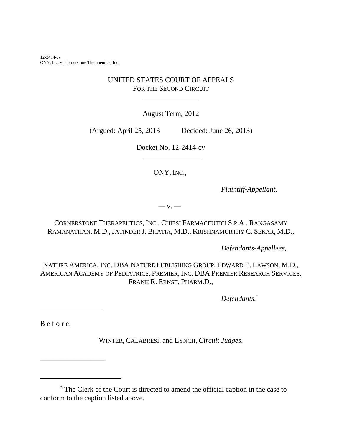12-2414-cv ONY, Inc. v. Cornerstone Therapeutics, Inc.

## UNITED STATES COURT OF APPEALS FOR THE SECOND CIRCUIT

 $\overline{a}$ 

August Term, 2012

(Argued: April 25, 2013 Decided: June 26, 2013)

Docket No. 12-2414-cv

ONY, INC.,

*Plaintiff-Appellant*,

*—* v. —

CORNERSTONE THERAPEUTICS, INC., CHIESI FARMACEUTICI S.P.A., RANGASAMY RAMANATHAN, M.D., JATINDER J. BHATIA, M.D., KRISHNAMURTHY C. SEKAR, M.D.,

*Defendants-Appellees*,

NATURE AMERICA, INC. DBA NATURE PUBLISHING GROUP, EDWARD E. LAWSON, M.D., AMERICAN ACADEMY OF PEDIATRICS, PREMIER, INC. DBA PREMIER RESEARCH SERVICES, FRANK R. ERNST, PHARM.D.,

*Defendants*. *\**

B e f o r e:

\_\_\_\_\_\_\_\_\_\_\_\_\_\_\_\_\_\_

l

WINTER, CALABRESI, and LYNCH, *Circuit Judges*.

\* The Clerk of the Court is directed to amend the official caption in the case to conform to the caption listed above.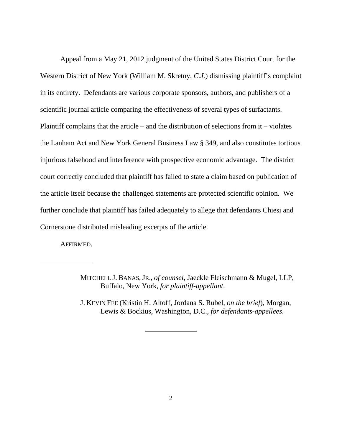Appeal from a May 21, 2012 judgment of the United States District Court for the Western District of New York (William M. Skretny, *C.J.*) dismissing plaintiff's complaint in its entirety. Defendants are various corporate sponsors, authors, and publishers of a scientific journal article comparing the effectiveness of several types of surfactants. Plaintiff complains that the article – and the distribution of selections from it – violates the Lanham Act and New York General Business Law § 349, and also constitutes tortious injurious falsehood and interference with prospective economic advantage. The district court correctly concluded that plaintiff has failed to state a claim based on publication of the article itself because the challenged statements are protected scientific opinion. We further conclude that plaintiff has failed adequately to allege that defendants Chiesi and Cornerstone distributed misleading excerpts of the article.

AFFIRMED.

 $\overline{a}$ 

J. KEVIN FEE (Kristin H. Altoff, Jordana S. Rubel, *on the brief*), Morgan, Lewis & Bockius, Washington, D.C., *for defendants-appellees*.

 $\ddot{\phantom{a}}$ 

MITCHELL J. BANAS, JR., *of counsel*, Jaeckle Fleischmann & Mugel, LLP, Buffalo, New York, *for plaintiff-appellant*.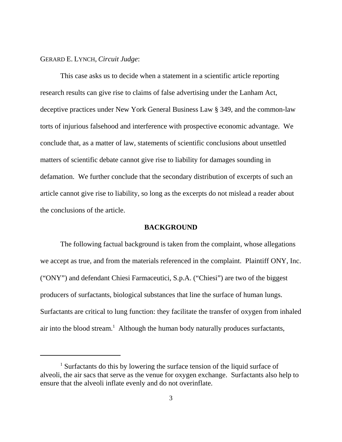## GERARD E. LYNCH, *Circuit Judge*:

This case asks us to decide when a statement in a scientific article reporting research results can give rise to claims of false advertising under the Lanham Act, deceptive practices under New York General Business Law § 349, and the common-law torts of injurious falsehood and interference with prospective economic advantage. We conclude that, as a matter of law, statements of scientific conclusions about unsettled matters of scientific debate cannot give rise to liability for damages sounding in defamation. We further conclude that the secondary distribution of excerpts of such an article cannot give rise to liability, so long as the excerpts do not mislead a reader about the conclusions of the article.

#### **BACKGROUND**

The following factual background is taken from the complaint, whose allegations we accept as true, and from the materials referenced in the complaint. Plaintiff ONY, Inc. ("ONY") and defendant Chiesi Farmaceutici, S.p.A. ("Chiesi") are two of the biggest producers of surfactants, biological substances that line the surface of human lungs. Surfactants are critical to lung function: they facilitate the transfer of oxygen from inhaled air into the blood stream.<sup>1</sup> Although the human body naturally produces surfactants,

<sup>&</sup>lt;sup>1</sup> Surfactants do this by lowering the surface tension of the liquid surface of alveoli, the air sacs that serve as the venue for oxygen exchange. Surfactants also help to ensure that the alveoli inflate evenly and do not overinflate.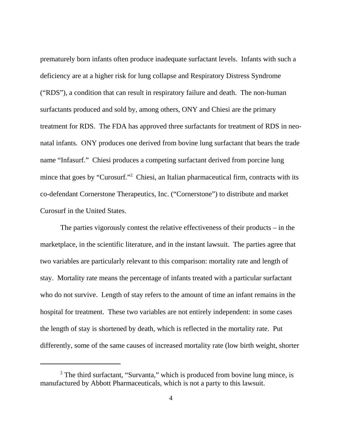prematurely born infants often produce inadequate surfactant levels. Infants with such a deficiency are at a higher risk for lung collapse and Respiratory Distress Syndrome ("RDS"), a condition that can result in respiratory failure and death. The non-human surfactants produced and sold by, among others, ONY and Chiesi are the primary treatment for RDS. The FDA has approved three surfactants for treatment of RDS in neonatal infants. ONY produces one derived from bovine lung surfactant that bears the trade name "Infasurf." Chiesi produces a competing surfactant derived from porcine lung mince that goes by "Curosurf."<sup>2</sup> Chiesi, an Italian pharmaceutical firm, contracts with its co-defendant Cornerstone Therapeutics, Inc. ("Cornerstone") to distribute and market Curosurf in the United States.

The parties vigorously contest the relative effectiveness of their products – in the marketplace, in the scientific literature, and in the instant lawsuit. The parties agree that two variables are particularly relevant to this comparison: mortality rate and length of stay. Mortality rate means the percentage of infants treated with a particular surfactant who do not survive. Length of stay refers to the amount of time an infant remains in the hospital for treatment. These two variables are not entirely independent: in some cases the length of stay is shortened by death, which is reflected in the mortality rate. Put differently, some of the same causes of increased mortality rate (low birth weight, shorter

<sup>&</sup>lt;sup>2</sup> The third surfactant, "Survanta," which is produced from bovine lung mince, is manufactured by Abbott Pharmaceuticals, which is not a party to this lawsuit.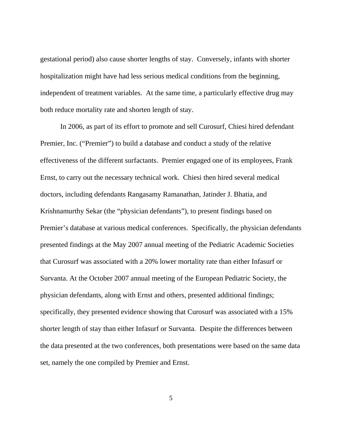gestational period) also cause shorter lengths of stay. Conversely, infants with shorter hospitalization might have had less serious medical conditions from the beginning, independent of treatment variables. At the same time, a particularly effective drug may both reduce mortality rate and shorten length of stay.

In 2006, as part of its effort to promote and sell Curosurf, Chiesi hired defendant Premier, Inc. ("Premier") to build a database and conduct a study of the relative effectiveness of the different surfactants. Premier engaged one of its employees, Frank Ernst, to carry out the necessary technical work. Chiesi then hired several medical doctors, including defendants Rangasamy Ramanathan, Jatinder J. Bhatia, and Krishnamurthy Sekar (the "physician defendants"), to present findings based on Premier's database at various medical conferences. Specifically, the physician defendants presented findings at the May 2007 annual meeting of the Pediatric Academic Societies that Curosurf was associated with a 20% lower mortality rate than either Infasurf or Survanta. At the October 2007 annual meeting of the European Pediatric Society, the physician defendants, along with Ernst and others, presented additional findings; specifically, they presented evidence showing that Curosurf was associated with a 15% shorter length of stay than either Infasurf or Survanta. Despite the differences between the data presented at the two conferences, both presentations were based on the same data set, namely the one compiled by Premier and Ernst.

5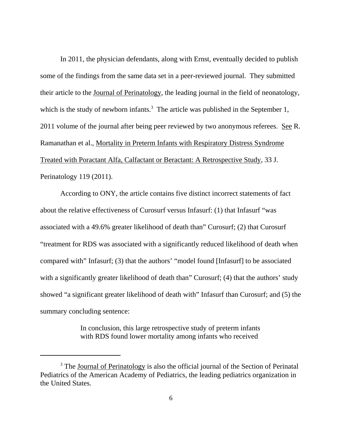In 2011, the physician defendants, along with Ernst, eventually decided to publish some of the findings from the same data set in a peer-reviewed journal. They submitted their article to the Journal of Perinatology, the leading journal in the field of neonatology, which is the study of newborn infants.<sup>3</sup> The article was published in the September 1, 2011 volume of the journal after being peer reviewed by two anonymous referees. See R. Ramanathan et al., Mortality in Preterm Infants with Respiratory Distress Syndrome Treated with Poractant Alfa, Calfactant or Beractant: A Retrospective Study, 33 J. Perinatology 119 (2011).

According to ONY, the article contains five distinct incorrect statements of fact about the relative effectiveness of Curosurf versus Infasurf: (1) that Infasurf "was associated with a 49.6% greater likelihood of death than" Curosurf; (2) that Curosurf "treatment for RDS was associated with a significantly reduced likelihood of death when compared with" Infasurf; (3) that the authors' "model found [Infasurf] to be associated with a significantly greater likelihood of death than" Curosurf; (4) that the authors' study showed "a significant greater likelihood of death with" Infasurf than Curosurf; and (5) the summary concluding sentence:

> In conclusion, this large retrospective study of preterm infants with RDS found lower mortality among infants who received

<sup>&</sup>lt;sup>3</sup> The Journal of Perinatology is also the official journal of the Section of Perinatal Pediatrics of the American Academy of Pediatrics, the leading pediatrics organization in the United States.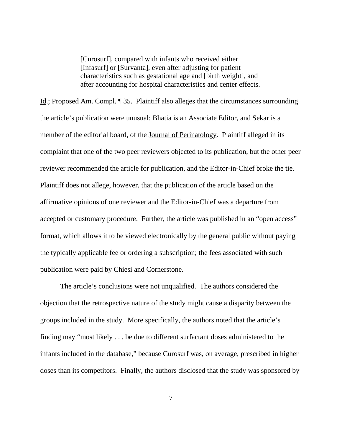[Curosurf], compared with infants who received either [Infasurf] or [Survanta], even after adjusting for patient characteristics such as gestational age and [birth weight], and after accounting for hospital characteristics and center effects.

Id.; Proposed Am. Compl. ¶ 35. Plaintiff also alleges that the circumstances surrounding the article's publication were unusual: Bhatia is an Associate Editor, and Sekar is a member of the editorial board, of the **Journal of Perinatology**. Plaintiff alleged in its complaint that one of the two peer reviewers objected to its publication, but the other peer reviewer recommended the article for publication, and the Editor-in-Chief broke the tie. Plaintiff does not allege, however, that the publication of the article based on the affirmative opinions of one reviewer and the Editor-in-Chief was a departure from accepted or customary procedure. Further, the article was published in an "open access" format, which allows it to be viewed electronically by the general public without paying the typically applicable fee or ordering a subscription; the fees associated with such publication were paid by Chiesi and Cornerstone.

The article's conclusions were not unqualified. The authors considered the objection that the retrospective nature of the study might cause a disparity between the groups included in the study. More specifically, the authors noted that the article's finding may "most likely . . . be due to different surfactant doses administered to the infants included in the database," because Curosurf was, on average, prescribed in higher doses than its competitors. Finally, the authors disclosed that the study was sponsored by

7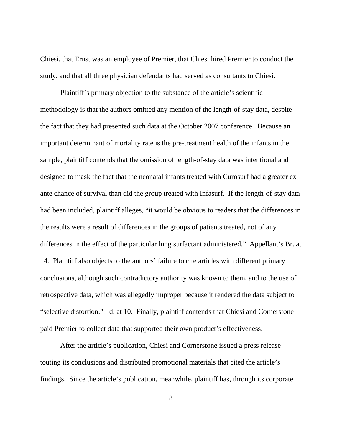Chiesi, that Ernst was an employee of Premier, that Chiesi hired Premier to conduct the study, and that all three physician defendants had served as consultants to Chiesi.

Plaintiff's primary objection to the substance of the article's scientific methodology is that the authors omitted any mention of the length-of-stay data, despite the fact that they had presented such data at the October 2007 conference. Because an important determinant of mortality rate is the pre-treatment health of the infants in the sample, plaintiff contends that the omission of length-of-stay data was intentional and designed to mask the fact that the neonatal infants treated with Curosurf had a greater ex ante chance of survival than did the group treated with Infasurf. If the length-of-stay data had been included, plaintiff alleges, "it would be obvious to readers that the differences in the results were a result of differences in the groups of patients treated, not of any differences in the effect of the particular lung surfactant administered." Appellant's Br. at 14.Plaintiff also objects to the authors' failure to cite articles with different primary conclusions, although such contradictory authority was known to them, and to the use of retrospective data, which was allegedly improper because it rendered the data subject to "selective distortion."Id. at 10. Finally, plaintiff contends that Chiesi and Cornerstone paid Premier to collect data that supported their own product's effectiveness.

After the article's publication, Chiesi and Cornerstone issued a press release touting its conclusions and distributed promotional materials that cited the article's findings. Since the article's publication, meanwhile, plaintiff has, through its corporate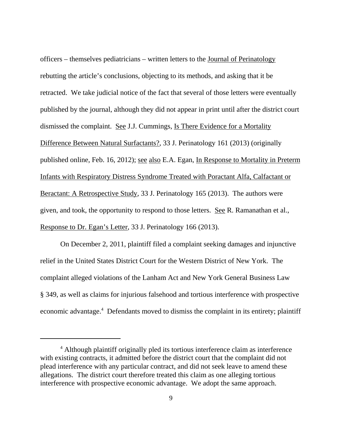officers – themselves pediatricians – written letters to the Journal of Perinatology rebutting the article's conclusions, objecting to its methods, and asking that it be retracted. We take judicial notice of the fact that several of those letters were eventually published by the journal, although they did not appear in print until after the district court dismissed the complaint. See J.J. Cummings, Is There Evidence for a Mortality Difference Between Natural Surfactants?, 33 J. Perinatology 161 (2013) (originally published online, Feb. 16, 2012); see also E.A. Egan, In Response to Mortality in Preterm Infants with Respiratory Distress Syndrome Treated with Poractant Alfa, Calfactant or Beractant: A Retrospective Study, 33 J. Perinatology 165 (2013). The authors were given, and took, the opportunity to respond to those letters. See R. Ramanathan et al., Response to Dr. Egan's Letter, 33 J. Perinatology 166 (2013).

On December 2, 2011, plaintiff filed a complaint seeking damages and injunctive relief in the United States District Court for the Western District of New York. The complaint alleged violations of the Lanham Act and New York General Business Law § 349, as well as claims for injurious falsehood and tortious interference with prospective economic advantage.<sup>4</sup> Defendants moved to dismiss the complaint in its entirety; plaintiff

<sup>&</sup>lt;sup>4</sup> Although plaintiff originally pled its tortious interference claim as interference with existing contracts, it admitted before the district court that the complaint did not plead interference with any particular contract, and did not seek leave to amend these allegations. The district court therefore treated this claim as one alleging tortious interference with prospective economic advantage. We adopt the same approach.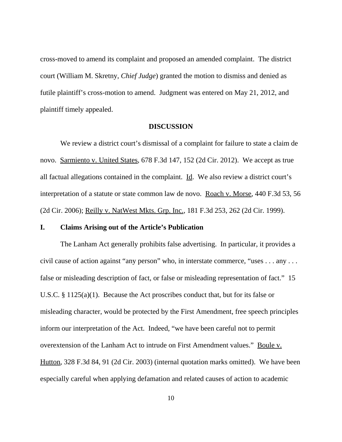cross-moved to amend its complaint and proposed an amended complaint. The district court (William M. Skretny, *Chief Judge*) granted the motion to dismiss and denied as futile plaintiff's cross-motion to amend. Judgment was entered on May 21, 2012, and plaintiff timely appealed.

#### **DISCUSSION**

We review a district court's dismissal of a complaint for failure to state a claim de novo. Sarmiento v. United States, 678 F.3d 147, 152 (2d Cir. 2012). We accept as true all factual allegations contained in the complaint. Id. We also review a district court's interpretation of a statute or state common law de novo. Roach v. Morse, 440 F.3d 53, 56 (2d Cir. 2006); Reilly v. NatWest Mkts. Grp. Inc., 181 F.3d 253, 262 (2d Cir. 1999).

## **I. Claims Arising out of the Article's Publication**

The Lanham Act generally prohibits false advertising. In particular, it provides a civil cause of action against "any person" who, in interstate commerce, "uses . . . any . . . false or misleading description of fact, or false or misleading representation of fact." 15 U.S.C. § 1125(a)(1). Because the Act proscribes conduct that, but for its false or misleading character, would be protected by the First Amendment, free speech principles inform our interpretation of the Act. Indeed, "we have been careful not to permit overextension of the Lanham Act to intrude on First Amendment values." Boule v. Hutton, 328 F.3d 84, 91 (2d Cir. 2003) (internal quotation marks omitted). We have been especially careful when applying defamation and related causes of action to academic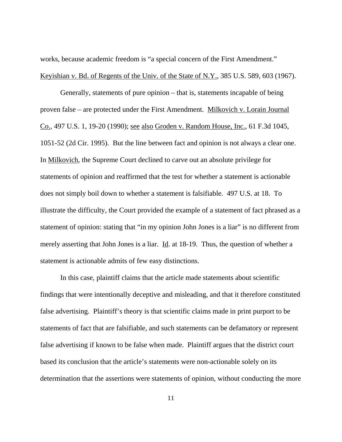works, because academic freedom is "a special concern of the First Amendment." Keyishian v. Bd. of Regents of the Univ. of the State of N.Y., 385 U.S. 589, 603 (1967).

Generally, statements of pure opinion – that is, statements incapable of being proven false – are protected under the First Amendment. Milkovich v. Lorain Journal Co., 497 U.S. 1, 19-20 (1990); see also Groden v. Random House, Inc., 61 F.3d 1045, 1051-52 (2d Cir. 1995). But the line between fact and opinion is not always a clear one. In Milkovich, the Supreme Court declined to carve out an absolute privilege for statements of opinion and reaffirmed that the test for whether a statement is actionable does not simply boil down to whether a statement is falsifiable. 497 U.S. at 18. To illustrate the difficulty, the Court provided the example of a statement of fact phrased as a statement of opinion: stating that "in my opinion John Jones is a liar" is no different from merely asserting that John Jones is a liar. Id. at 18-19. Thus, the question of whether a statement is actionable admits of few easy distinctions.

In this case, plaintiff claims that the article made statements about scientific findings that were intentionally deceptive and misleading, and that it therefore constituted false advertising. Plaintiff's theory is that scientific claims made in print purport to be statements of fact that are falsifiable, and such statements can be defamatory or represent false advertising if known to be false when made. Plaintiff argues that the district court based its conclusion that the article's statements were non-actionable solely on its determination that the assertions were statements of opinion, without conducting the more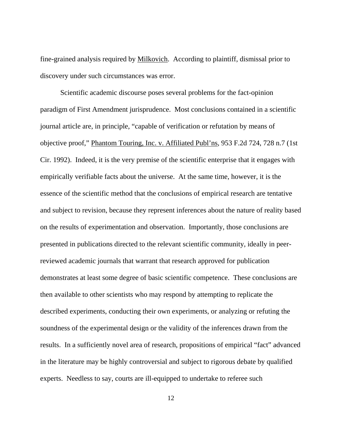fine-grained analysis required by Milkovich. According to plaintiff, dismissal prior to discovery under such circumstances was error.

Scientific academic discourse poses several problems for the fact-opinion paradigm of First Amendment jurisprudence. Most conclusions contained in a scientific journal article are, in principle, "capable of verification or refutation by means of objective proof," Phantom Touring, Inc. v. Affiliated Publ'ns, 953 F.2d 724, 728 n.7 (1st Cir. 1992). Indeed, it is the very premise of the scientific enterprise that it engages with empirically verifiable facts about the universe. At the same time, however, it is the essence of the scientific method that the conclusions of empirical research are tentative and subject to revision, because they represent inferences about the nature of reality based on the results of experimentation and observation. Importantly, those conclusions are presented in publications directed to the relevant scientific community, ideally in peerreviewed academic journals that warrant that research approved for publication demonstrates at least some degree of basic scientific competence. These conclusions are then available to other scientists who may respond by attempting to replicate the described experiments, conducting their own experiments, or analyzing or refuting the soundness of the experimental design or the validity of the inferences drawn from the results. In a sufficiently novel area of research, propositions of empirical "fact" advanced in the literature may be highly controversial and subject to rigorous debate by qualified experts. Needless to say, courts are ill-equipped to undertake to referee such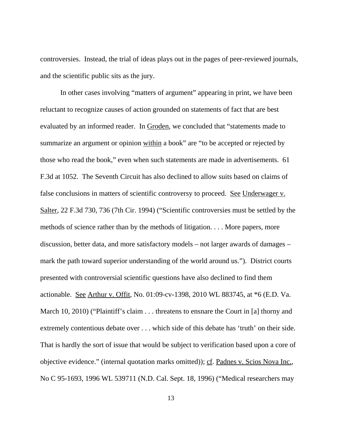controversies. Instead, the trial of ideas plays out in the pages of peer-reviewed journals, and the scientific public sits as the jury.

In other cases involving "matters of argument" appearing in print, we have been reluctant to recognize causes of action grounded on statements of fact that are best evaluated by an informed reader. In Groden, we concluded that "statements made to summarize an argument or opinion within a book" are "to be accepted or rejected by those who read the book," even when such statements are made in advertisements. 61 F.3d at 1052. The Seventh Circuit has also declined to allow suits based on claims of false conclusions in matters of scientific controversy to proceed. See Underwager v. Salter, 22 F.3d 730, 736 (7th Cir. 1994) ("Scientific controversies must be settled by the methods of science rather than by the methods of litigation. . . . More papers, more discussion, better data, and more satisfactory models – not larger awards of damages – mark the path toward superior understanding of the world around us."). District courts presented with controversial scientific questions have also declined to find them actionable. See Arthur v. Offit, No. 01:09-cv-1398, 2010 WL 883745, at \*6 (E.D. Va. March 10, 2010) ("Plaintiff's claim . . . threatens to ensnare the Court in [a] thorny and extremely contentious debate over . . . which side of this debate has 'truth' on their side. That is hardly the sort of issue that would be subject to verification based upon a core of objective evidence." (internal quotation marks omitted)); cf. Padnes v. Scios Nova Inc., No C 95-1693, 1996 WL 539711 (N.D. Cal. Sept. 18, 1996) ("Medical researchers may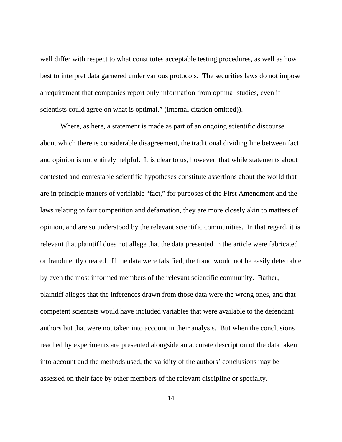well differ with respect to what constitutes acceptable testing procedures, as well as how best to interpret data garnered under various protocols. The securities laws do not impose a requirement that companies report only information from optimal studies, even if scientists could agree on what is optimal." (internal citation omitted)).

Where, as here, a statement is made as part of an ongoing scientific discourse about which there is considerable disagreement, the traditional dividing line between fact and opinion is not entirely helpful. It is clear to us, however, that while statements about contested and contestable scientific hypotheses constitute assertions about the world that are in principle matters of verifiable "fact," for purposes of the First Amendment and the laws relating to fair competition and defamation, they are more closely akin to matters of opinion, and are so understood by the relevant scientific communities. In that regard, it is relevant that plaintiff does not allege that the data presented in the article were fabricated or fraudulently created. If the data were falsified, the fraud would not be easily detectable by even the most informed members of the relevant scientific community. Rather, plaintiff alleges that the inferences drawn from those data were the wrong ones, and that competent scientists would have included variables that were available to the defendant authors but that were not taken into account in their analysis. But when the conclusions reached by experiments are presented alongside an accurate description of the data taken into account and the methods used, the validity of the authors' conclusions may be assessed on their face by other members of the relevant discipline or specialty.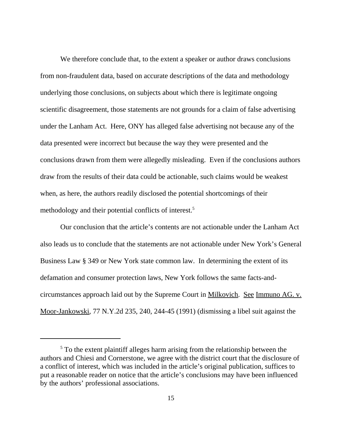We therefore conclude that, to the extent a speaker or author draws conclusions from non-fraudulent data, based on accurate descriptions of the data and methodology underlying those conclusions, on subjects about which there is legitimate ongoing scientific disagreement, those statements are not grounds for a claim of false advertising under the Lanham Act. Here, ONY has alleged false advertising not because any of the data presented were incorrect but because the way they were presented and the conclusions drawn from them were allegedly misleading. Even if the conclusions authors draw from the results of their data could be actionable, such claims would be weakest when, as here, the authors readily disclosed the potential shortcomings of their methodology and their potential conflicts of interest.5

Our conclusion that the article's contents are not actionable under the Lanham Act also leads us to conclude that the statements are not actionable under New York's General Business Law § 349 or New York state common law. In determining the extent of its defamation and consumer protection laws, New York follows the same facts-andcircumstances approach laid out by the Supreme Court in Milkovich. See Immuno AG. v. Moor-Jankowski, 77 N.Y.2d 235, 240, 244-45 (1991) (dismissing a libel suit against the

 $<sup>5</sup>$  To the extent plaintiff alleges harm arising from the relationship between the</sup> authors and Chiesi and Cornerstone, we agree with the district court that the disclosure of a conflict of interest, which was included in the article's original publication, suffices to put a reasonable reader on notice that the article's conclusions may have been influenced by the authors' professional associations.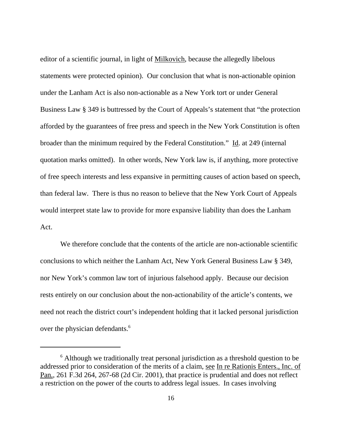editor of a scientific journal, in light of Milkovich, because the allegedly libelous statements were protected opinion). Our conclusion that what is non-actionable opinion under the Lanham Act is also non-actionable as a New York tort or under General Business Law § 349 is buttressed by the Court of Appeals's statement that "the protection afforded by the guarantees of free press and speech in the New York Constitution is often broader than the minimum required by the Federal Constitution." Id. at 249 (internal quotation marks omitted). In other words, New York law is, if anything, more protective of free speech interests and less expansive in permitting causes of action based on speech, than federal law. There is thus no reason to believe that the New York Court of Appeals would interpret state law to provide for more expansive liability than does the Lanham Act.

We therefore conclude that the contents of the article are non-actionable scientific conclusions to which neither the Lanham Act, New York General Business Law § 349, nor New York's common law tort of injurious falsehood apply.Because our decision rests entirely on our conclusion about the non-actionability of the article's contents, we need not reach the district court's independent holding that it lacked personal jurisdiction over the physician defendants.<sup>6</sup>

<sup>&</sup>lt;sup>6</sup> Although we traditionally treat personal jurisdiction as a threshold question to be addressed prior to consideration of the merits of a claim, see In re Rationis Enters., Inc. of Pan., 261 F.3d 264, 267-68 (2d Cir. 2001), that practice is prudential and does not reflect a restriction on the power of the courts to address legal issues. In cases involving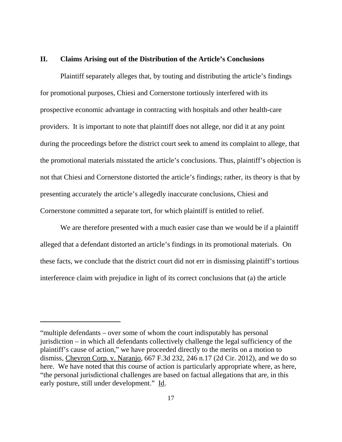## **II. Claims Arising out of the Distribution of the Article's Conclusions**

Plaintiff separately alleges that, by touting and distributing the article's findings for promotional purposes, Chiesi and Cornerstone tortiously interfered with its prospective economic advantage in contracting with hospitals and other health-care providers. It is important to note that plaintiff does not allege, nor did it at any point during the proceedings before the district court seek to amend its complaint to allege, that the promotional materials misstated the article's conclusions. Thus, plaintiff's objection is not that Chiesi and Cornerstone distorted the article's findings; rather, its theory is that by presenting accurately the article's allegedly inaccurate conclusions, Chiesi and Cornerstone committed a separate tort, for which plaintiff is entitled to relief.

We are therefore presented with a much easier case than we would be if a plaintiff alleged that a defendant distorted an article's findings in its promotional materials. On these facts, we conclude that the district court did not err in dismissing plaintiff's tortious interference claim with prejudice in light of its correct conclusions that (a) the article

<sup>&</sup>quot;multiple defendants – over some of whom the court indisputably has personal jurisdiction – in which all defendants collectively challenge the legal sufficiency of the plaintiff's cause of action," we have proceeded directly to the merits on a motion to dismiss, Chevron Corp. v. Naranjo, 667 F.3d 232, 246 n.17 (2d Cir. 2012), and we do so here. We have noted that this course of action is particularly appropriate where, as here, "the personal jurisdictional challenges are based on factual allegations that are, in this early posture, still under development." Id.